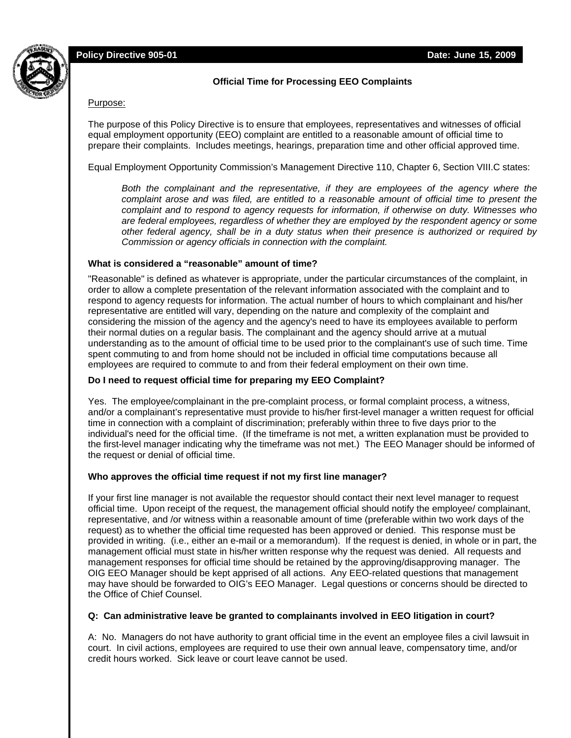

# **Official Time for Processing EEO Complaints**

#### Purpose:

The purpose of this Policy Directive is to ensure that employees, representatives and witnesses of official equal employment opportunity (EEO) complaint are entitled to a reasonable amount of official time to prepare their complaints. Includes meetings, hearings, preparation time and other official approved time.

Equal Employment Opportunity Commission's Management Directive 110, Chapter 6, Section VIII.C states:

*Both the complainant and the representative, if they are employees of the agency where the complaint arose and was filed, are entitled to a reasonable amount of official time to present the complaint and to respond to agency requests for information, if otherwise on duty. Witnesses who are federal employees, regardless of whether they are employed by the respondent agency or some other federal agency, shall be in a duty status when their presence is authorized or required by Commission or agency officials in connection with the complaint.*

### **What is considered a "reasonable" amount of time?**

"Reasonable" is defined as whatever is appropriate, under the particular circumstances of the complaint, in order to allow a complete presentation of the relevant information associated with the complaint and to respond to agency requests for information. The actual number of hours to which complainant and his/her representative are entitled will vary, depending on the nature and complexity of the complaint and considering the mission of the agency and the agency's need to have its employees available to perform their normal duties on a regular basis. The complainant and the agency should arrive at a mutual understanding as to the amount of official time to be used prior to the complainant's use of such time. Time spent commuting to and from home should not be included in official time computations because all employees are required to commute to and from their federal employment on their own time.

### **Do I need to request official time for preparing my EEO Complaint?**

Yes. The employee/complainant in the pre-complaint process, or formal complaint process, a witness, and/or a complainant's representative must provide to his/her first-level manager a written request for official time in connection with a complaint of discrimination; preferably within three to five days prior to the individual's need for the official time. (If the timeframe is not met, a written explanation must be provided to the first-level manager indicating why the timeframe was not met.) The EEO Manager should be informed of the request or denial of official time.

### **Who approves the official time request if not my first line manager?**

If your first line manager is not available the requestor should contact their next level manager to request official time. Upon receipt of the request, the management official should notify the employee/ complainant, representative, and /or witness within a reasonable amount of time (preferable within two work days of the request) as to whether the official time requested has been approved or denied. This response must be provided in writing. (i.e., either an e-mail or a memorandum). If the request is denied, in whole or in part, the management official must state in his/her written response why the request was denied. All requests and management responses for official time should be retained by the approving/disapproving manager. The OIG EEO Manager should be kept apprised of all actions. Any EEO-related questions that management may have should be forwarded to OIG's EEO Manager. Legal questions or concerns should be directed to the Office of Chief Counsel.

### **Q: Can administrative leave be granted to complainants involved in EEO litigation in court?**

A: No. Managers do not have authority to grant official time in the event an employee files a civil lawsuit in court. In civil actions, employees are required to use their own annual leave, compensatory time, and/or credit hours worked. Sick leave or court leave cannot be used.